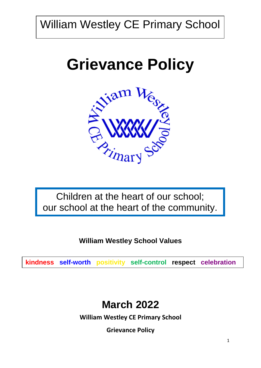William Westley CE Primary School

# **Grievance Policy**



Children at the heart of our school; our school at the heart of the community.

**William Westley School Values**

**kindness self-worth positivity self-control respect celebration**

# **March 2022**

**William Westley CE Primary School**

**Grievance Policy**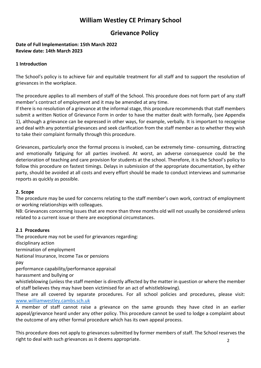## **William Westley CE Primary School**

### **Grievance Policy**

#### **Date of Full Implementation: 15th March 2022 Review date: 14th March 2023**

#### **1 Introduction**

The School's policy is to achieve fair and equitable treatment for all staff and to support the resolution of grievances in the workplace.

The procedure applies to all members of staff of the School. This procedure does not form part of any staff member's contract of employment and it may be amended at any time.

If there is no resolution of a grievance at the informal stage, this procedure recommends that staff members submit a written Notice of Grievance Form in order to have the matter dealt with formally, (see Appendix 1), although a grievance can be expressed in other ways, for example, verbally. It is important to recognise and deal with any potential grievances and seek clarification from the staff member as to whether they wish to take their complaint formally through this procedure.

Grievances, particularly once the formal process is invoked, can be extremely time- consuming, distracting and emotionally fatiguing for all parties involved. At worst, an adverse consequence could be the deterioration of teaching and care provision for students at the school. Therefore, it is the School's policy to follow this procedure on fastest timings. Delays in submission of the appropriate documentation, by either party, should be avoided at all costs and every effort should be made to conduct interviews and summarise reports as quickly as possible.

#### **2. Scope**

The procedure may be used for concerns relating to the staff member's own work, contract of employment or working relationships with colleagues.

NB: Grievances concerning issues that are more than three months old will not usually be considered unless related to a current issue or there are exceptional circumstances.

#### **2.1 Procedures**

The procedure may not be used for grievances regarding: disciplinary action termination of employment National Insurance, Income Tax or pensions pay performance capability/performance appraisal harassment and bullying or whistleblowing (unless the staff member is directly affected by the matter in question or where the member of staff believes they may have been victimised for an act of whistleblowing). These are all covered by separate procedures. For all school policies and procedures, please visit: [www.williamwestley.cambs.sch.uk](http://www.williamwestley.cambs.sch.uk/)

A member of staff cannot raise a grievance on the same grounds they have cited in an earlier appeal/grievance heard under any other policy. This procedure cannot be used to lodge a complaint about the outcome of any other formal procedure which has its own appeal process.

2 This procedure does not apply to grievances submitted by former members of staff. The School reserves the right to deal with such grievances as it deems appropriate.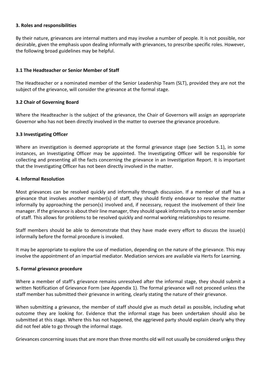#### **3. Roles and responsibilities**

By their nature, grievances are internal matters and may involve a number of people. It is not possible, nor desirable, given the emphasis upon dealing informally with grievances, to prescribe specific roles. However, the following broad guidelines may be helpful.

#### **3.1 The Headteacher or Senior Member of Staff**

The Headteacher or a nominated member of the Senior Leadership Team (SLT), provided they are not the subject of the grievance, will consider the grievance at the formal stage.

#### **3.2 Chair of Governing Board**

Where the Headteacher is the subject of the grievance, the Chair of Governors will assign an appropriate Governor who has not been directly involved in the matter to oversee the grievance procedure.

#### **3.3 Investigating Officer**

Where an investigation is deemed appropriate at the formal grievance stage (see Section 5.1), in some instances, an Investigating Officer may be appointed. The Investigating Officer will be responsible for collecting and presenting all the facts concerning the grievance in an Investigation Report. It is important that the Investigating Officer has not been directly involved in the matter.

#### **4. Informal Resolution**

Most grievances can be resolved quickly and informally through discussion. If a member of staff has a grievance that involves another member(s) of staff, they should firstly endeavor to resolve the matter informally by approaching the person(s) involved and, if necessary, request the involvement of their line manager. If the grievance is about their line manager, they should speak informally to a more senior member of staff. This allows for problems to be resolved quickly and normal working relationships to resume.

Staff members should be able to demonstrate that they have made every effort to discuss the issue(s) informally before the formal procedure is invoked.

It may be appropriate to explore the use of mediation, depending on the nature of the grievance. This may involve the appointment of an impartial mediator. Mediation services are available via Herts for Learning.

#### **5. Formal grievance procedure**

Where a member of staff's grievance remains unresolved after the informal stage, they should submit a written Notification of Grievance Form (see Appendix 1). The formal grievance will not proceed unless the staff member has submitted their grievance in writing, clearly stating the nature of their grievance.

When submitting a grievance, the member of staff should give as much detail as possible, including what outcome they are looking for. Evidence that the informal stage has been undertaken should also be submitted at this stage. Where this has not happened, the aggrieved party should explain clearly why they did not feel able to go through the informal stage.

Grievances concerning issues that are more than three months old will not usually be considered unless they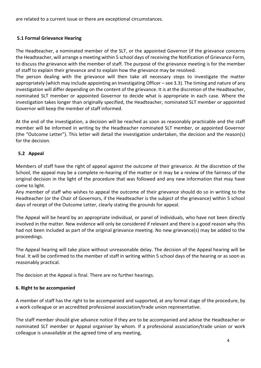are related to a current issue or there are exceptional circumstances.

#### **5.1 Formal Grievance Hearing**

The Headteacher, a nominated member of the SLT, or the appointed Governor (if the grievance concerns the Headteacher, will arrange a meeting within 5 school days of receiving the Notification of Grievance Form, to discuss the grievance with the member of staff. The purpose of the grievance meeting is for the member of staff to explain their grievance and to explain how the grievance may be resolved.

The person dealing with the grievance will then take all necessary steps to investigate the matter appropriately (which may include appointing an Investigating Officer – see 3.3). The timing and nature of any investigation will differ depending on the content of the grievance. It is at the discretion of the Headteacher, nominated SLT member or appointed Governor to decide what is appropriate in each case. Where the investigation takes longer than originally specified, the Headteacher, nominated SLT member or appointed Governor will keep the member of staff informed.

At the end of the investigation, a decision will be reached as soon as reasonably practicable and the staff member will be informed in writing by the Headteacher nominated SLT member, or appointed Governor (the "Outcome Letter"). This letter will detail the investigation undertaken, the decision and the reason(s) for the decision.

#### **5.2 Appeal**

Members of staff have the right of appeal against the outcome of their grievance. At the discretion of the School, the appeal may be a complete re-hearing of the matter or it may be a review of the fairness of the original decision in the light of the procedure that was followed and any new information that may have come to light.

Any member of staff who wishes to appeal the outcome of their grievance should do so in writing to the Headteacher (or the Chair of Governors, if the Headteacher is the subject of the grievance) within 5 school days of receipt of the Outcome Letter, clearly stating the grounds for appeal.

The Appeal will be heard by an appropriate individual, or panel of individuals, who have not been directly involved in the matter. New evidence will only be considered if relevant and there is a good reason why this had not been included as part of the original grievance meeting. No new grievance(s) may be added to the proceedings.

The Appeal hearing will take place without unreasonable delay. The decision of the Appeal hearing will be final. It will be confirmed to the member of staff in writing within 5 school days of the hearing or as soon as reasonably practical.

The decision at the Appeal is final. There are no further hearings.

#### **6. Right to be accompanied**

A member of staff has the right to be accompanied and supported, at any formal stage of the procedure, by a work colleague or an accredited professional association/trade union representative.

The staff member should give advance notice if they are to be accompanied and advise the Headteacher or nominated SLT member or Appeal organiser by whom. If a professional association/trade union or work colleague is unavailable at the agreed time of any meeting,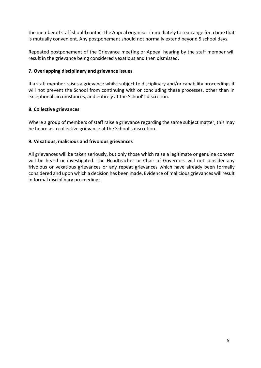the member of staff should contact the Appeal organiser immediately to rearrange for a time that is mutually convenient. Any postponement should not normally extend beyond 5 school days.

Repeated postponement of the Grievance meeting or Appeal hearing by the staff member will result in the grievance being considered vexatious and then dismissed.

#### **7. Overlapping disciplinary and grievance issues**

If a staff member raises a grievance whilst subject to disciplinary and/or capability proceedings it will not prevent the School from continuing with or concluding these processes, other than in exceptional circumstances, and entirely at the School's discretion.

#### **8. Collective grievances**

Where a group of members of staff raise a grievance regarding the same subject matter, this may be heard as a collective grievance at the School's discretion.

#### **9. Vexatious, malicious and frivolous grievances**

All grievances will be taken seriously, but only those which raise a legitimate or genuine concern will be heard or investigated. The Headteacher or Chair of Governors will not consider any frivolous or vexatious grievances or any repeat grievances which have already been formally considered and upon which a decision has been made. Evidence of malicious grievances will result in formal disciplinary proceedings.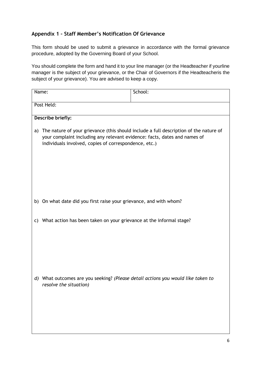#### **Appendix 1 – Staff Member's Notification Of Grievance**

This form should be used to submit a grievance in accordance with the formal grievance procedure, adopted by the Governing Board of your School.

You should complete the form and hand it to your line manager (or the Headteacher if yourline manager is the subject of your grievance, or the Chair of Governors if the Headteacheris the subject of your grievance). You are advised to keep a copy.

| Name:                                                                                                                                    | School:                                                                               |
|------------------------------------------------------------------------------------------------------------------------------------------|---------------------------------------------------------------------------------------|
| Post Held:                                                                                                                               |                                                                                       |
| Describe briefly:                                                                                                                        |                                                                                       |
| a)<br>your complaint including any relevant evidence: facts, dates and names of<br>individuals involved, copies of correspondence, etc.) | The nature of your grievance (this should include a full description of the nature of |
| b) On what date did you first raise your grievance, and with whom?                                                                       |                                                                                       |
| What action has been taken on your grievance at the informal stage?<br>C)                                                                |                                                                                       |
| d) What outcomes are you seeking? (Please detail actions you would like taken to<br>resolve the situation)                               |                                                                                       |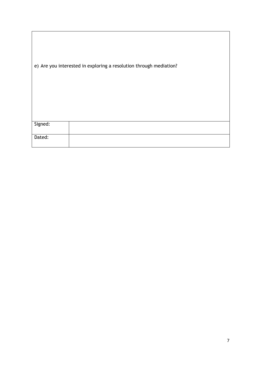|         | e) Are you interested in exploring a resolution through mediation? |
|---------|--------------------------------------------------------------------|
| Signed: |                                                                    |
| Dated:  |                                                                    |